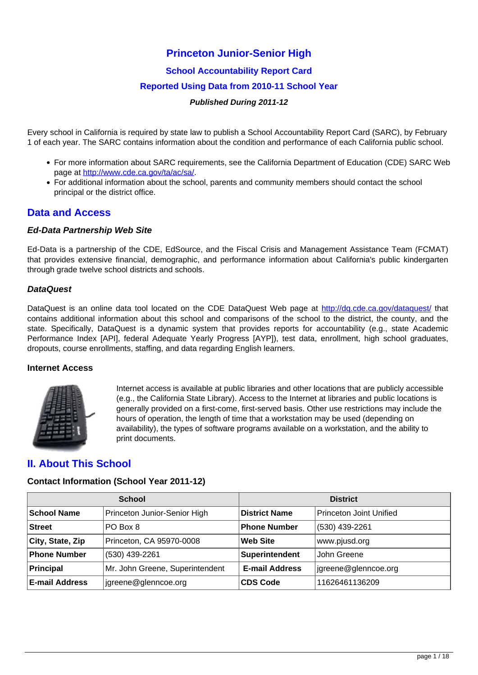## **Princeton Junior-Senior High**

**School Accountability Report Card**

#### **Reported Using Data from 2010-11 School Year**

#### **Published During 2011-12**

Every school in California is required by state law to publish a School Accountability Report Card (SARC), by February 1 of each year. The SARC contains information about the condition and performance of each California public school.

- For more information about SARC requirements, see the California Department of Education (CDE) SARC Web page at [http://www.cde.ca.gov/ta/ac/sa/.](http://www.cde.ca.gov/ta/ac/sa/)
- For additional information about the school, parents and community members should contact the school principal or the district office.

## **Data and Access**

#### **Ed-Data Partnership Web Site**

Ed-Data is a partnership of the CDE, EdSource, and the Fiscal Crisis and Management Assistance Team (FCMAT) that provides extensive financial, demographic, and performance information about California's public kindergarten through grade twelve school districts and schools.

#### **DataQuest**

DataQuest is an online data tool located on the CDE DataQuest Web page at <http://dq.cde.ca.gov/dataquest/> that contains additional information about this school and comparisons of the school to the district, the county, and the state. Specifically, DataQuest is a dynamic system that provides reports for accountability (e.g., state Academic Performance Index [API], federal Adequate Yearly Progress [AYP]), test data, enrollment, high school graduates, dropouts, course enrollments, staffing, and data regarding English learners.

#### **Internet Access**



Internet access is available at public libraries and other locations that are publicly accessible (e.g., the California State Library). Access to the Internet at libraries and public locations is generally provided on a first-come, first-served basis. Other use restrictions may include the hours of operation, the length of time that a workstation may be used (depending on availability), the types of software programs available on a workstation, and the ability to print documents.

## **II. About This School**

#### **Contact Information (School Year 2011-12)**

|                       | <b>School</b>                   |                       | <b>District</b>         |
|-----------------------|---------------------------------|-----------------------|-------------------------|
| <b>School Name</b>    | Princeton Junior-Senior High    | <b>District Name</b>  | Princeton Joint Unified |
| <b>Street</b>         | PO Box 8                        | <b>Phone Number</b>   | (530) 439-2261          |
| City, State, Zip      | Princeton, CA 95970-0008        | <b>Web Site</b>       | www.pjusd.org           |
| <b>Phone Number</b>   | (530) 439-2261                  | Superintendent        | John Greene             |
| Principal             | Mr. John Greene, Superintendent | <b>E-mail Address</b> | igreen@glennce.org      |
| <b>E-mail Address</b> | jgreene@glenncoe.org            | <b>CDS Code</b>       | 11626461136209          |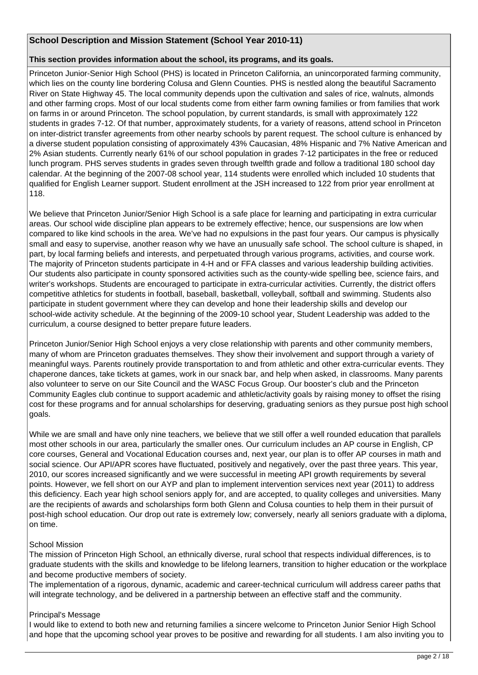#### **School Description and Mission Statement (School Year 2010-11)**

#### **This section provides information about the school, its programs, and its goals.**

Princeton Junior-Senior High School (PHS) is located in Princeton California, an unincorporated farming community, which lies on the county line bordering Colusa and Glenn Counties. PHS is nestled along the beautiful Sacramento River on State Highway 45. The local community depends upon the cultivation and sales of rice, walnuts, almonds and other farming crops. Most of our local students come from either farm owning families or from families that work on farms in or around Princeton. The school population, by current standards, is small with approximately 122 students in grades 7-12. Of that number, approximately students, for a variety of reasons, attend school in Princeton on inter-district transfer agreements from other nearby schools by parent request. The school culture is enhanced by a diverse student population consisting of approximately 43% Caucasian, 48% Hispanic and 7% Native American and 2% Asian students. Currently nearly 61% of our school population in grades 7-12 participates in the free or reduced lunch program. PHS serves students in grades seven through twelfth grade and follow a traditional 180 school day calendar. At the beginning of the 2007-08 school year, 114 students were enrolled which included 10 students that qualified for English Learner support. Student enrollment at the JSH increased to 122 from prior year enrollment at 118.

We believe that Princeton Junior/Senior High School is a safe place for learning and participating in extra curricular areas. Our school wide discipline plan appears to be extremely effective; hence, our suspensions are low when compared to like kind schools in the area. We've had no expulsions in the past four years. Our campus is physically small and easy to supervise, another reason why we have an unusually safe school. The school culture is shaped, in part, by local farming beliefs and interests, and perpetuated through various programs, activities, and course work. The majority of Princeton students participate in 4-H and or FFA classes and various leadership building activities. Our students also participate in county sponsored activities such as the county-wide spelling bee, science fairs, and writer's workshops. Students are encouraged to participate in extra-curricular activities. Currently, the district offers competitive athletics for students in football, baseball, basketball, volleyball, softball and swimming. Students also participate in student government where they can develop and hone their leadership skills and develop our school-wide activity schedule. At the beginning of the 2009-10 school year, Student Leadership was added to the curriculum, a course designed to better prepare future leaders.

Princeton Junior/Senior High School enjoys a very close relationship with parents and other community members, many of whom are Princeton graduates themselves. They show their involvement and support through a variety of meaningful ways. Parents routinely provide transportation to and from athletic and other extra-curricular events. They chaperone dances, take tickets at games, work in our snack bar, and help when asked, in classrooms. Many parents also volunteer to serve on our Site Council and the WASC Focus Group. Our booster's club and the Princeton Community Eagles club continue to support academic and athletic/activity goals by raising money to offset the rising cost for these programs and for annual scholarships for deserving, graduating seniors as they pursue post high school goals.

While we are small and have only nine teachers, we believe that we still offer a well rounded education that parallels most other schools in our area, particularly the smaller ones. Our curriculum includes an AP course in English, CP core courses, General and Vocational Education courses and, next year, our plan is to offer AP courses in math and social science. Our API/APR scores have fluctuated, positively and negatively, over the past three years. This year, 2010, our scores increased significantly and we were successful in meeting API growth requirements by several points. However, we fell short on our AYP and plan to implement intervention services next year (2011) to address this deficiency. Each year high school seniors apply for, and are accepted, to quality colleges and universities. Many are the recipients of awards and scholarships form both Glenn and Colusa counties to help them in their pursuit of post-high school education. Our drop out rate is extremely low; conversely, nearly all seniors graduate with a diploma, on time.

#### School Mission

The mission of Princeton High School, an ethnically diverse, rural school that respects individual differences, is to graduate students with the skills and knowledge to be lifelong learners, transition to higher education or the workplace and become productive members of society.

The implementation of a rigorous, dynamic, academic and career-technical curriculum will address career paths that will integrate technology, and be delivered in a partnership between an effective staff and the community.

#### Principal's Message

I would like to extend to both new and returning families a sincere welcome to Princeton Junior Senior High School and hope that the upcoming school year proves to be positive and rewarding for all students. I am also inviting you to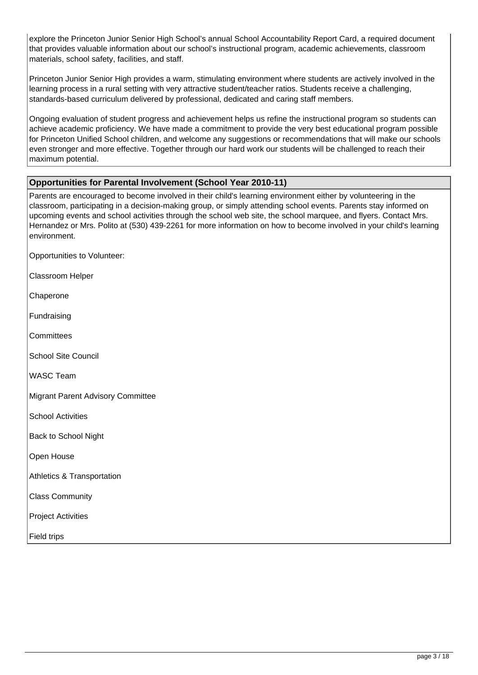explore the Princeton Junior Senior High School's annual School Accountability Report Card, a required document that provides valuable information about our school's instructional program, academic achievements, classroom materials, school safety, facilities, and staff.

Princeton Junior Senior High provides a warm, stimulating environment where students are actively involved in the learning process in a rural setting with very attractive student/teacher ratios. Students receive a challenging, standards-based curriculum delivered by professional, dedicated and caring staff members.

Ongoing evaluation of student progress and achievement helps us refine the instructional program so students can achieve academic proficiency. We have made a commitment to provide the very best educational program possible for Princeton Unified School children, and welcome any suggestions or recommendations that will make our schools even stronger and more effective. Together through our hard work our students will be challenged to reach their maximum potential.

#### **Opportunities for Parental Involvement (School Year 2010-11)**

Parents are encouraged to become involved in their child's learning environment either by volunteering in the classroom, participating in a decision-making group, or simply attending school events. Parents stay informed on upcoming events and school activities through the school web site, the school marquee, and flyers. Contact Mrs. Hernandez or Mrs. Polito at (530) 439-2261 for more information on how to become involved in your child's learning environment.

Opportunities to Volunteer:

Classroom Helper

Chaperone

Fundraising

**Committees** 

School Site Council

WASC Team

Migrant Parent Advisory Committee

School Activities

Back to School Night

Open House

Athletics & Transportation

Class Community

Project Activities

Field trips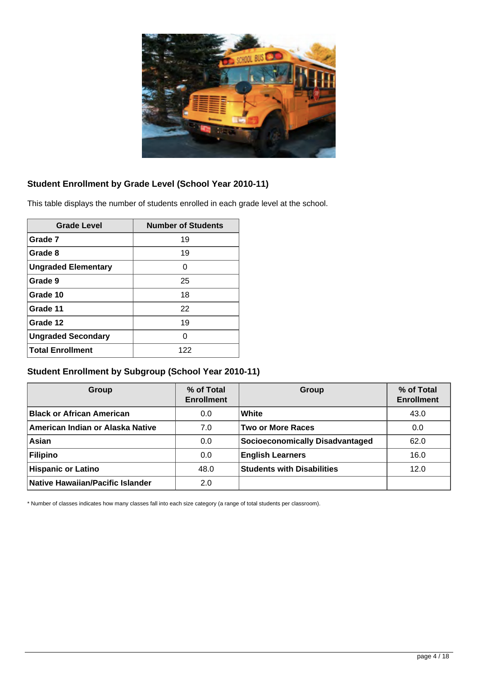

## **Student Enrollment by Grade Level (School Year 2010-11)**

This table displays the number of students enrolled in each grade level at the school.

| <b>Grade Level</b>         | <b>Number of Students</b> |
|----------------------------|---------------------------|
| Grade 7                    | 19                        |
| Grade 8                    | 19                        |
| <b>Ungraded Elementary</b> | O                         |
| Grade 9                    | 25                        |
| Grade 10                   | 18                        |
| Grade 11                   | 22                        |
| Grade 12                   | 19                        |
| <b>Ungraded Secondary</b>  | O                         |
| <b>Total Enrollment</b>    | 122                       |

## **Student Enrollment by Subgroup (School Year 2010-11)**

| Group                                   | % of Total<br><b>Enrollment</b> | Group                             | % of Total<br><b>Enrollment</b> |
|-----------------------------------------|---------------------------------|-----------------------------------|---------------------------------|
| <b>Black or African American</b>        | 0.0                             | White                             | 43.0                            |
| American Indian or Alaska Native        | 7.0                             | Two or More Races                 | 0.0                             |
| Asian                                   | 0.0                             | Socioeconomically Disadvantaged   | 62.0                            |
| Filipino                                | 0.0                             | <b>English Learners</b>           | 16.0                            |
| <b>Hispanic or Latino</b>               | 48.0                            | <b>Students with Disabilities</b> | 12.0                            |
| <b>Native Hawaiian/Pacific Islander</b> | 2.0                             |                                   |                                 |

\* Number of classes indicates how many classes fall into each size category (a range of total students per classroom).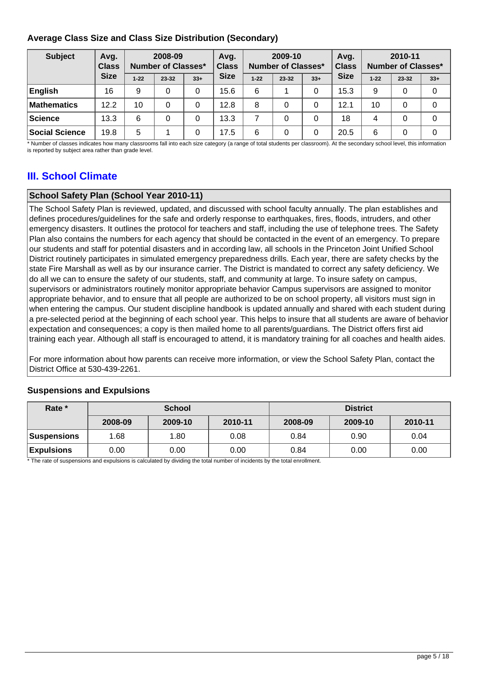## **Average Class Size and Class Size Distribution (Secondary)**

| <b>Subject</b>        | Avg.<br><b>Class</b> | 2008-09<br>Number of Classes* |       | Avg.<br><b>Class</b> | 2009-10<br>Number of Classes* |          |           | Avq.<br><b>Class</b> |             | 2010-11<br>Number of Classes* |       |       |
|-----------------------|----------------------|-------------------------------|-------|----------------------|-------------------------------|----------|-----------|----------------------|-------------|-------------------------------|-------|-------|
|                       | <b>Size</b>          | $1 - 22$                      | 23-32 | $33+$                | <b>Size</b>                   | $1 - 22$ | $23 - 32$ | $33+$                | <b>Size</b> | $1 - 22$                      | 23-32 | $33+$ |
| English               | 16                   | 9                             |       | 0                    | 15.6                          | 6        |           | 0                    | 15.3        | 9                             | 0     |       |
| <b>Mathematics</b>    | 12.2                 | 10                            |       | 0                    | 12.8                          | 8        | 0         | 0                    | 12.1        | 10                            |       |       |
| Science               | 13.3                 | 6                             |       | 0                    | 13.3                          | ⇁        | 0         | 0                    | 18          | 4                             |       |       |
| <b>Social Science</b> | 19.8                 | 5                             |       | 0                    | 17.5                          | 6        | 0         | 0                    | 20.5        | 6                             |       |       |

\* Number of classes indicates how many classrooms fall into each size category (a range of total students per classroom). At the secondary school level, this information is reported by subject area rather than grade level.

# **III. School Climate**

## **School Safety Plan (School Year 2010-11)**

The School Safety Plan is reviewed, updated, and discussed with school faculty annually. The plan establishes and defines procedures/guidelines for the safe and orderly response to earthquakes, fires, floods, intruders, and other emergency disasters. It outlines the protocol for teachers and staff, including the use of telephone trees. The Safety Plan also contains the numbers for each agency that should be contacted in the event of an emergency. To prepare our students and staff for potential disasters and in according law, all schools in the Princeton Joint Unified School District routinely participates in simulated emergency preparedness drills. Each year, there are safety checks by the state Fire Marshall as well as by our insurance carrier. The District is mandated to correct any safety deficiency. We do all we can to ensure the safety of our students, staff, and community at large. To insure safety on campus, supervisors or administrators routinely monitor appropriate behavior Campus supervisors are assigned to monitor appropriate behavior, and to ensure that all people are authorized to be on school property, all visitors must sign in when entering the campus. Our student discipline handbook is updated annually and shared with each student during a pre-selected period at the beginning of each school year. This helps to insure that all students are aware of behavior expectation and consequences; a copy is then mailed home to all parents/guardians. The District offers first aid training each year. Although all staff is encouraged to attend, it is mandatory training for all coaches and health aides.

For more information about how parents can receive more information, or view the School Safety Plan, contact the District Office at 530-439-2261.

#### **Suspensions and Expulsions**

| Rate *            | <b>School</b> |         |         | <b>District</b> |         |         |
|-------------------|---------------|---------|---------|-----------------|---------|---------|
|                   | 2008-09       | 2009-10 | 2010-11 | 2008-09         | 2009-10 | 2010-11 |
| Suspensions       | 1.68          | 1.80    | 0.08    | 0.84            | 0.90    | 0.04    |
| <b>Expulsions</b> | 0.00          | 0.00    | 0.00    | 0.84            | 0.00    | 0.00    |

\* The rate of suspensions and expulsions is calculated by dividing the total number of incidents by the total enrollment.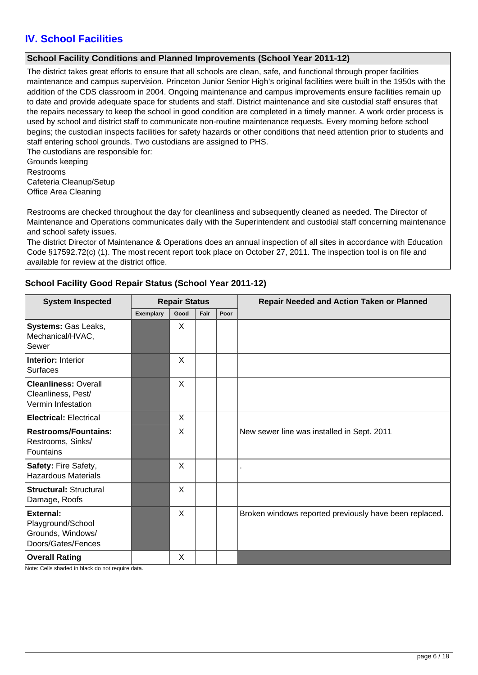# **IV. School Facilities**

### **School Facility Conditions and Planned Improvements (School Year 2011-12)**

The district takes great efforts to ensure that all schools are clean, safe, and functional through proper facilities maintenance and campus supervision. Princeton Junior Senior High's original facilities were built in the 1950s with the addition of the CDS classroom in 2004. Ongoing maintenance and campus improvements ensure facilities remain up to date and provide adequate space for students and staff. District maintenance and site custodial staff ensures that the repairs necessary to keep the school in good condition are completed in a timely manner. A work order process is used by school and district staff to communicate non-routine maintenance requests. Every morning before school begins; the custodian inspects facilities for safety hazards or other conditions that need attention prior to students and staff entering school grounds. Two custodians are assigned to PHS.

The custodians are responsible for: Grounds keeping Restrooms Cafeteria Cleanup/Setup Office Area Cleaning

Restrooms are checked throughout the day for cleanliness and subsequently cleaned as needed. The Director of Maintenance and Operations communicates daily with the Superintendent and custodial staff concerning maintenance and school safety issues.

The district Director of Maintenance & Operations does an annual inspection of all sites in accordance with Education Code §17592.72(c) (1). The most recent report took place on October 27, 2011. The inspection tool is on file and available for review at the district office.

## **School Facility Good Repair Status (School Year 2011-12)**

| <b>System Inspected</b><br><b>Repair Status</b>                           |           |      | <b>Repair Needed and Action Taken or Planned</b> |      |                                                        |
|---------------------------------------------------------------------------|-----------|------|--------------------------------------------------|------|--------------------------------------------------------|
|                                                                           | Exemplary | Good | Fair                                             | Poor |                                                        |
| Systems: Gas Leaks,<br>Mechanical/HVAC,<br>Sewer                          |           | X    |                                                  |      |                                                        |
| <b>Interior: Interior</b><br><b>Surfaces</b>                              |           | X    |                                                  |      |                                                        |
| <b>Cleanliness: Overall</b><br>Cleanliness, Pest/<br>Vermin Infestation   |           | X    |                                                  |      |                                                        |
| <b>Electrical: Electrical</b>                                             |           | X    |                                                  |      |                                                        |
| <b>Restrooms/Fountains:</b><br>Restrooms, Sinks/<br>Fountains             |           | X    |                                                  |      | New sewer line was installed in Sept. 2011             |
| Safety: Fire Safety,<br><b>Hazardous Materials</b>                        |           | X    |                                                  |      |                                                        |
| <b>Structural: Structural</b><br>Damage, Roofs                            |           | X    |                                                  |      |                                                        |
| External:<br>Playground/School<br>Grounds, Windows/<br>Doors/Gates/Fences |           | X    |                                                  |      | Broken windows reported previously have been replaced. |
| <b>Overall Rating</b>                                                     |           | X    |                                                  |      |                                                        |

Note: Cells shaded in black do not require data.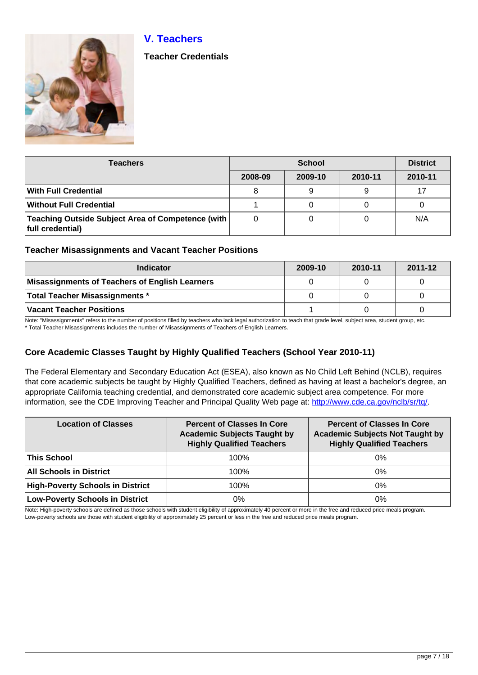# **V. Teachers**



**Teacher Credentials**

| Teachers                                                                |         | <b>District</b> |         |         |
|-------------------------------------------------------------------------|---------|-----------------|---------|---------|
|                                                                         | 2008-09 | 2009-10         | 2010-11 | 2010-11 |
| With Full Credential                                                    | 8       | 9               | 9       | 17      |
| Without Full Credential                                                 |         | 0               |         |         |
| Teaching Outside Subject Area of Competence (with  <br>full credential) | 0       | 0               |         | N/A     |

## **Teacher Misassignments and Vacant Teacher Positions**

| <b>Indicator</b>                               | 2009-10 | 2010-11 | 2011-12 |
|------------------------------------------------|---------|---------|---------|
| Misassignments of Teachers of English Learners |         |         |         |
| Total Teacher Misassignments *                 |         |         |         |
| Vacant Teacher Positions                       |         |         |         |

Note: "Misassignments" refers to the number of positions filled by teachers who lack legal authorization to teach that grade level, subject area, student group, etc.

\* Total Teacher Misassignments includes the number of Misassignments of Teachers of English Learners.

## **Core Academic Classes Taught by Highly Qualified Teachers (School Year 2010-11)**

The Federal Elementary and Secondary Education Act (ESEA), also known as No Child Left Behind (NCLB), requires that core academic subjects be taught by Highly Qualified Teachers, defined as having at least a bachelor's degree, an appropriate California teaching credential, and demonstrated core academic subject area competence. For more information, see the CDE Improving Teacher and Principal Quality Web page at: <http://www.cde.ca.gov/nclb/sr/tq/>

| <b>Location of Classes</b>              | <b>Percent of Classes In Core</b><br><b>Academic Subjects Taught by</b><br><b>Highly Qualified Teachers</b> | <b>Percent of Classes In Core</b><br><b>Academic Subjects Not Taught by</b><br><b>Highly Qualified Teachers</b> |
|-----------------------------------------|-------------------------------------------------------------------------------------------------------------|-----------------------------------------------------------------------------------------------------------------|
| <b>This School</b>                      | 100%                                                                                                        | $0\%$                                                                                                           |
| <b>All Schools in District</b>          | 100%                                                                                                        | $0\%$                                                                                                           |
| <b>High-Poverty Schools in District</b> | 100%                                                                                                        | $0\%$                                                                                                           |
| <b>Low-Poverty Schools in District</b>  | 0%                                                                                                          | 0%                                                                                                              |

Note: High-poverty schools are defined as those schools with student eligibility of approximately 40 percent or more in the free and reduced price meals program. Low-poverty schools are those with student eligibility of approximately 25 percent or less in the free and reduced price meals program.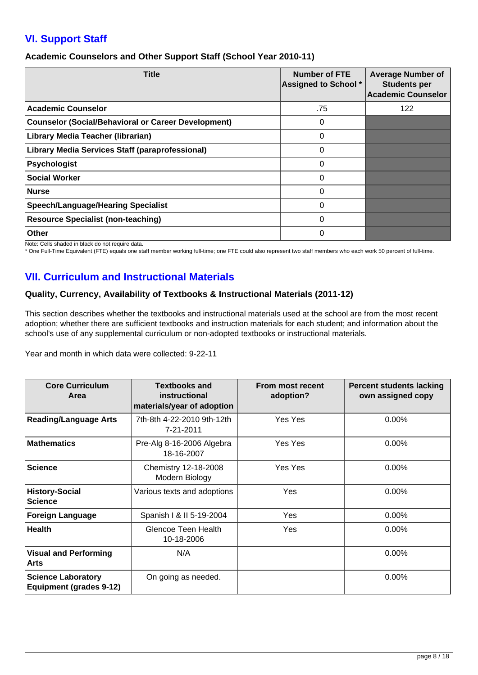# **VI. Support Staff**

### **Academic Counselors and Other Support Staff (School Year 2010-11)**

| <b>Title</b>                                               | <b>Number of FTE</b><br><b>Assigned to School *</b> | <b>Average Number of</b><br><b>Students per</b><br><b>Academic Counselor</b> |
|------------------------------------------------------------|-----------------------------------------------------|------------------------------------------------------------------------------|
| <b>Academic Counselor</b>                                  | .75                                                 | 122                                                                          |
| <b>Counselor (Social/Behavioral or Career Development)</b> | 0                                                   |                                                                              |
| Library Media Teacher (librarian)                          | 0                                                   |                                                                              |
| <b>Library Media Services Staff (paraprofessional)</b>     | 0                                                   |                                                                              |
| Psychologist                                               | 0                                                   |                                                                              |
| <b>Social Worker</b>                                       | 0                                                   |                                                                              |
| Nurse                                                      | 0                                                   |                                                                              |
| <b>Speech/Language/Hearing Specialist</b>                  | 0                                                   |                                                                              |
| <b>Resource Specialist (non-teaching)</b>                  | 0                                                   |                                                                              |
| Other                                                      | 0                                                   |                                                                              |

Note: Cells shaded in black do not require data.

\* One Full-Time Equivalent (FTE) equals one staff member working full-time; one FTE could also represent two staff members who each work 50 percent of full-time.

# **VII. Curriculum and Instructional Materials**

## **Quality, Currency, Availability of Textbooks & Instructional Materials (2011-12)**

This section describes whether the textbooks and instructional materials used at the school are from the most recent adoption; whether there are sufficient textbooks and instruction materials for each student; and information about the school's use of any supplemental curriculum or non-adopted textbooks or instructional materials.

Year and month in which data were collected: 9-22-11

| <b>Core Curriculum</b><br>Area                              | <b>Textbooks and</b><br>instructional<br>materials/year of adoption | From most recent<br>adoption? | <b>Percent students lacking</b><br>own assigned copy |
|-------------------------------------------------------------|---------------------------------------------------------------------|-------------------------------|------------------------------------------------------|
| <b>Reading/Language Arts</b>                                | 7th-8th 4-22-2010 9th-12th<br>7-21-2011                             | Yes Yes                       | $0.00\%$                                             |
| <b>Mathematics</b>                                          | Pre-Alg 8-16-2006 Algebra<br>18-16-2007                             | Yes Yes                       | $0.00\%$                                             |
| <b>Science</b>                                              | Chemistry 12-18-2008<br>Modern Biology                              | Yes Yes                       | 0.00%                                                |
| <b>History-Social</b><br><b>Science</b>                     | Various texts and adoptions                                         | Yes                           | 0.00%                                                |
| <b>Foreign Language</b>                                     | Spanish   & II 5-19-2004                                            | <b>Yes</b>                    | $0.00\%$                                             |
| <b>Health</b>                                               | Glencoe Teen Health<br>10-18-2006                                   | Yes                           | $0.00\%$                                             |
| <b>Visual and Performing</b><br>Arts                        | N/A                                                                 |                               | $0.00\%$                                             |
| <b>Science Laboratory</b><br><b>Equipment (grades 9-12)</b> | On going as needed.                                                 |                               | $0.00\%$                                             |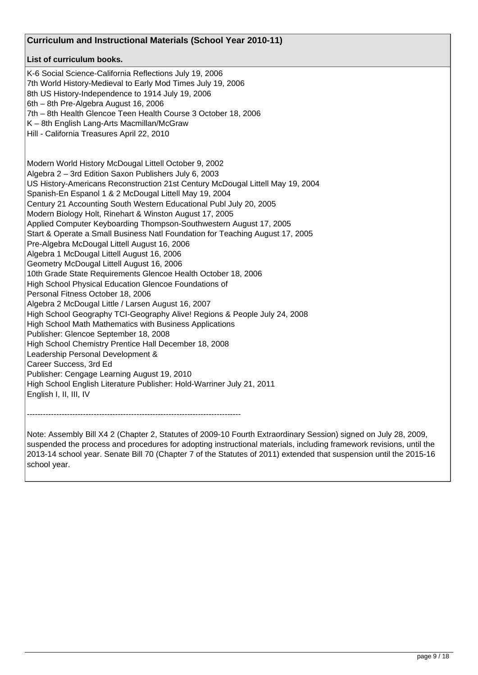| Curriculum and Instructional Materials (School Year 2010-11)                                                                                                                                                                                                                                                                                                                                                                                                                                                                                                                                                                                                                                                                                                                                                                                                                                                                                                                                                                                                                                                                                                                                                                                                                                                                                                                  |  |
|-------------------------------------------------------------------------------------------------------------------------------------------------------------------------------------------------------------------------------------------------------------------------------------------------------------------------------------------------------------------------------------------------------------------------------------------------------------------------------------------------------------------------------------------------------------------------------------------------------------------------------------------------------------------------------------------------------------------------------------------------------------------------------------------------------------------------------------------------------------------------------------------------------------------------------------------------------------------------------------------------------------------------------------------------------------------------------------------------------------------------------------------------------------------------------------------------------------------------------------------------------------------------------------------------------------------------------------------------------------------------------|--|
| List of curriculum books.                                                                                                                                                                                                                                                                                                                                                                                                                                                                                                                                                                                                                                                                                                                                                                                                                                                                                                                                                                                                                                                                                                                                                                                                                                                                                                                                                     |  |
| K-6 Social Science-California Reflections July 19, 2006<br>7th World History-Medieval to Early Mod Times July 19, 2006<br>8th US History-Independence to 1914 July 19, 2006<br>6th - 8th Pre-Algebra August 16, 2006<br>7th - 8th Health Glencoe Teen Health Course 3 October 18, 2006<br>K - 8th English Lang-Arts Macmillan/McGraw<br>Hill - California Treasures April 22, 2010                                                                                                                                                                                                                                                                                                                                                                                                                                                                                                                                                                                                                                                                                                                                                                                                                                                                                                                                                                                            |  |
| Modern World History McDougal Littell October 9, 2002<br>Algebra 2 - 3rd Edition Saxon Publishers July 6, 2003<br>US History-Americans Reconstruction 21st Century McDougal Littell May 19, 2004<br>Spanish-En Espanol 1 & 2 McDougal Littell May 19, 2004<br>Century 21 Accounting South Western Educational Publ July 20, 2005<br>Modern Biology Holt, Rinehart & Winston August 17, 2005<br>Applied Computer Keyboarding Thompson-Southwestern August 17, 2005<br>Start & Operate a Small Business Natl Foundation for Teaching August 17, 2005<br>Pre-Algebra McDougal Littell August 16, 2006<br>Algebra 1 McDougal Littell August 16, 2006<br>Geometry McDougal Littell August 16, 2006<br>10th Grade State Requirements Glencoe Health October 18, 2006<br>High School Physical Education Glencoe Foundations of<br>Personal Fitness October 18, 2006<br>Algebra 2 McDougal Little / Larsen August 16, 2007<br>High School Geography TCI-Geography Alive! Regions & People July 24, 2008<br>High School Math Mathematics with Business Applications<br>Publisher: Glencoe September 18, 2008<br>High School Chemistry Prentice Hall December 18, 2008<br>Leadership Personal Development &<br>Career Success, 3rd Ed<br>Publisher: Cengage Learning August 19, 2010<br>High School English Literature Publisher: Hold-Warriner July 21, 2011<br>English I, II, III, IV |  |
|                                                                                                                                                                                                                                                                                                                                                                                                                                                                                                                                                                                                                                                                                                                                                                                                                                                                                                                                                                                                                                                                                                                                                                                                                                                                                                                                                                               |  |

Note: Assembly Bill X4 2 (Chapter 2, Statutes of 2009-10 Fourth Extraordinary Session) signed on July 28, 2009, suspended the process and procedures for adopting instructional materials, including framework revisions, until the 2013-14 school year. Senate Bill 70 (Chapter 7 of the Statutes of 2011) extended that suspension until the 2015-16 school year.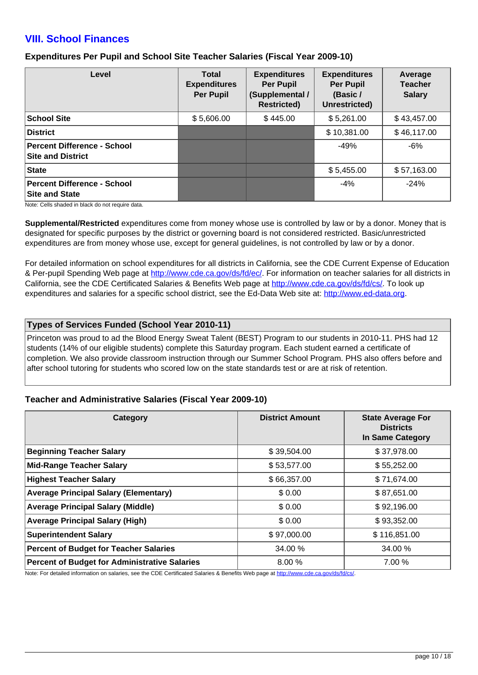## **VIII. School Finances**

### **Expenditures Per Pupil and School Site Teacher Salaries (Fiscal Year 2009-10)**

| Level                                                       | <b>Total</b><br><b>Expenditures</b><br><b>Per Pupil</b> | <b>Expenditures</b><br><b>Per Pupil</b><br>(Supplemental /<br><b>Restricted)</b> | <b>Expenditures</b><br><b>Per Pupil</b><br>(Basic /<br>Unrestricted) | Average<br><b>Teacher</b><br><b>Salary</b> |
|-------------------------------------------------------------|---------------------------------------------------------|----------------------------------------------------------------------------------|----------------------------------------------------------------------|--------------------------------------------|
| <b>School Site</b>                                          | \$5,606.00                                              | \$445.00                                                                         | \$5,261.00                                                           | \$43,457.00                                |
| <b>District</b>                                             |                                                         |                                                                                  | \$10,381.00                                                          | \$46,117.00                                |
| Percent Difference - School<br><b>Site and District</b>     |                                                         |                                                                                  | $-49%$                                                               | $-6%$                                      |
| State                                                       |                                                         |                                                                                  | \$5,455.00                                                           | \$57,163.00                                |
| <b>Percent Difference - School</b><br><b>Site and State</b> |                                                         |                                                                                  | $-4%$                                                                | $-24%$                                     |

Note: Cells shaded in black do not require data.

**Supplemental/Restricted** expenditures come from money whose use is controlled by law or by a donor. Money that is designated for specific purposes by the district or governing board is not considered restricted. Basic/unrestricted expenditures are from money whose use, except for general guidelines, is not controlled by law or by a donor.

For detailed information on school expenditures for all districts in California, see the CDE Current Expense of Education & Per-pupil Spending Web page at <http://www.cde.ca.gov/ds/fd/ec/>. For information on teacher salaries for all districts in California, see the CDE Certificated Salaries & Benefits Web page at <http://www.cde.ca.gov/ds/fd/cs/>. To look up expenditures and salaries for a specific school district, see the Ed-Data Web site at: <http://www.ed-data.org>.

#### **Types of Services Funded (School Year 2010-11)**

Princeton was proud to ad the Blood Energy Sweat Talent (BEST) Program to our students in 2010-11. PHS had 12 students (14% of our eligible students) complete this Saturday program. Each student earned a certificate of completion. We also provide classroom instruction through our Summer School Program. PHS also offers before and after school tutoring for students who scored low on the state standards test or are at risk of retention.

#### **Teacher and Administrative Salaries (Fiscal Year 2009-10)**

| Category                                             | <b>District Amount</b> | <b>State Average For</b><br><b>Districts</b><br><b>In Same Category</b> |
|------------------------------------------------------|------------------------|-------------------------------------------------------------------------|
| <b>Beginning Teacher Salary</b>                      | \$39,504.00            | \$37,978.00                                                             |
| <b>Mid-Range Teacher Salary</b>                      | \$53,577.00            | \$55,252.00                                                             |
| <b>Highest Teacher Salary</b>                        | \$66,357.00            | \$71,674.00                                                             |
| <b>Average Principal Salary (Elementary)</b>         | \$0.00                 | \$87,651.00                                                             |
| <b>Average Principal Salary (Middle)</b>             | \$0.00                 | \$92,196.00                                                             |
| <b>Average Principal Salary (High)</b>               | \$0.00                 | \$93,352.00                                                             |
| <b>Superintendent Salary</b>                         | \$97,000.00            | \$116,851.00                                                            |
| <b>Percent of Budget for Teacher Salaries</b>        | 34.00 %                | 34.00 %                                                                 |
| <b>Percent of Budget for Administrative Salaries</b> | 8.00 %                 | 7.00%                                                                   |

Note: For detailed information on salaries, see the CDE Certificated Salaries & Benefits Web page at <http://www.cde.ca.gov/ds/fd/cs/>.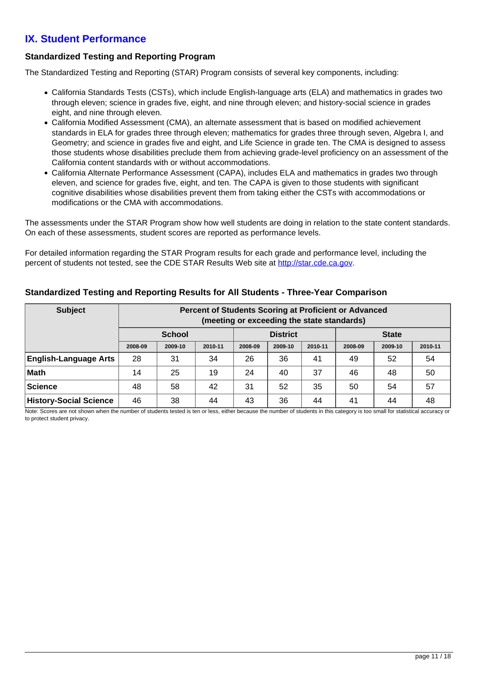# **IX. Student Performance**

## **Standardized Testing and Reporting Program**

The Standardized Testing and Reporting (STAR) Program consists of several key components, including:

- California Standards Tests (CSTs), which include English-language arts (ELA) and mathematics in grades two through eleven; science in grades five, eight, and nine through eleven; and history-social science in grades eight, and nine through eleven.
- California Modified Assessment (CMA), an alternate assessment that is based on modified achievement standards in ELA for grades three through eleven; mathematics for grades three through seven, Algebra I, and Geometry; and science in grades five and eight, and Life Science in grade ten. The CMA is designed to assess those students whose disabilities preclude them from achieving grade-level proficiency on an assessment of the California content standards with or without accommodations.
- California Alternate Performance Assessment (CAPA), includes ELA and mathematics in grades two through eleven, and science for grades five, eight, and ten. The CAPA is given to those students with significant cognitive disabilities whose disabilities prevent them from taking either the CSTs with accommodations or modifications or the CMA with accommodations.

The assessments under the STAR Program show how well students are doing in relation to the state content standards. On each of these assessments, student scores are reported as performance levels.

For detailed information regarding the STAR Program results for each grade and performance level, including the percent of students not tested, see the CDE STAR Results Web site at<http://star.cde.ca.gov>.

| <b>Subject</b>                | Percent of Students Scoring at Proficient or Advanced<br>(meeting or exceeding the state standards) |               |         |         |                 |         |              |         |         |
|-------------------------------|-----------------------------------------------------------------------------------------------------|---------------|---------|---------|-----------------|---------|--------------|---------|---------|
|                               |                                                                                                     | <b>School</b> |         |         | <b>District</b> |         | <b>State</b> |         |         |
|                               | 2008-09                                                                                             | 2009-10       | 2010-11 | 2008-09 | 2009-10         | 2010-11 | 2008-09      | 2009-10 | 2010-11 |
| <b>English-Language Arts</b>  | 28                                                                                                  | 31            | 34      | 26      | 36              | 41      | 49           | 52      | 54      |
| ∣Math                         | 14                                                                                                  | 25            | 19      | 24      | 40              | 37      | 46           | 48      | 50      |
| Science                       | 48                                                                                                  | 58            | 42      | 31      | 52              | 35      | 50           | 54      | 57      |
| <b>History-Social Science</b> | 46                                                                                                  | 38            | 44      | 43      | 36              | 44      | 41           | 44      | 48      |

#### **Standardized Testing and Reporting Results for All Students - Three-Year Comparison**

Note: Scores are not shown when the number of students tested is ten or less, either because the number of students in this category is too small for statistical accuracy or to protect student privacy.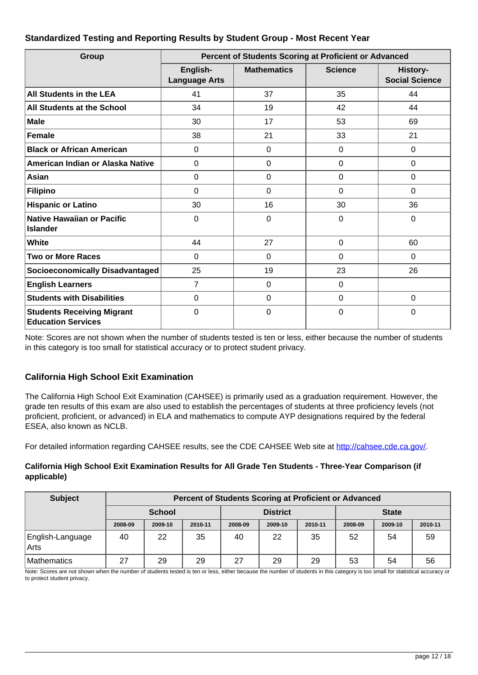## **Standardized Testing and Reporting Results by Student Group - Most Recent Year**

| Group                                                          | Percent of Students Scoring at Proficient or Advanced |                    |                |                                   |  |  |  |
|----------------------------------------------------------------|-------------------------------------------------------|--------------------|----------------|-----------------------------------|--|--|--|
|                                                                | English-<br><b>Language Arts</b>                      | <b>Mathematics</b> | <b>Science</b> | History-<br><b>Social Science</b> |  |  |  |
| <b>All Students in the LEA</b>                                 | 41                                                    | 37                 | 35             | 44                                |  |  |  |
| All Students at the School                                     | 34                                                    | 19                 | 42             | 44                                |  |  |  |
| <b>Male</b>                                                    | 30                                                    | 17                 | 53             | 69                                |  |  |  |
| Female                                                         | 38                                                    | 21                 | 33             | 21                                |  |  |  |
| <b>Black or African American</b>                               | 0                                                     | $\Omega$           | $\Omega$       | 0                                 |  |  |  |
| American Indian or Alaska Native                               | 0                                                     | $\Omega$           | $\mathbf 0$    | 0                                 |  |  |  |
| Asian                                                          | 0                                                     | $\overline{0}$     | $\mathbf 0$    | 0                                 |  |  |  |
| <b>Filipino</b>                                                | 0                                                     | $\mathbf 0$        | $\mathbf 0$    | 0                                 |  |  |  |
| <b>Hispanic or Latino</b>                                      | 30                                                    | 16                 | 30             | 36                                |  |  |  |
| <b>Native Hawaiian or Pacific</b><br>Islander                  | 0                                                     | $\overline{0}$     | $\mathbf 0$    | $\mathbf 0$                       |  |  |  |
| White                                                          | 44                                                    | 27                 | $\Omega$       | 60                                |  |  |  |
| <b>Two or More Races</b>                                       | 0                                                     | $\mathbf 0$        | $\mathbf 0$    | 0                                 |  |  |  |
| Socioeconomically Disadvantaged                                | 25                                                    | 19                 | 23             | 26                                |  |  |  |
| <b>English Learners</b>                                        | 7                                                     | 0                  | 0              |                                   |  |  |  |
| <b>Students with Disabilities</b>                              | 0                                                     | $\Omega$           | $\mathbf 0$    | 0                                 |  |  |  |
| <b>Students Receiving Migrant</b><br><b>Education Services</b> | 0                                                     | $\mathbf 0$        | 0              | 0                                 |  |  |  |

Note: Scores are not shown when the number of students tested is ten or less, either because the number of students in this category is too small for statistical accuracy or to protect student privacy.

## **California High School Exit Examination**

The California High School Exit Examination (CAHSEE) is primarily used as a graduation requirement. However, the grade ten results of this exam are also used to establish the percentages of students at three proficiency levels (not proficient, proficient, or advanced) in ELA and mathematics to compute AYP designations required by the federal ESEA, also known as NCLB.

For detailed information regarding CAHSEE results, see the CDE CAHSEE Web site at<http://cahsee.cde.ca.gov/>.

#### **California High School Exit Examination Results for All Grade Ten Students - Three-Year Comparison (if applicable)**

| <b>Subject</b>           |               | <b>Percent of Students Scoring at Proficient or Advanced</b> |                 |         |              |         |         |         |         |
|--------------------------|---------------|--------------------------------------------------------------|-----------------|---------|--------------|---------|---------|---------|---------|
|                          | <b>School</b> |                                                              | <b>District</b> |         | <b>State</b> |         |         |         |         |
|                          | 2008-09       | 2009-10                                                      | 2010-11         | 2008-09 | 2009-10      | 2010-11 | 2008-09 | 2009-10 | 2010-11 |
| English-Language<br>Arts | 40            | 22                                                           | 35              | 40      | 22           | 35      | 52      | 54      | 59      |
| <b>Mathematics</b>       | 27            | 29                                                           | 29              | 27      | 29           | 29      | 53      | 54      | 56      |

Note: Scores are not shown when the number of students tested is ten or less, either because the number of students in this category is too small for statistical accuracy or to protect student privacy.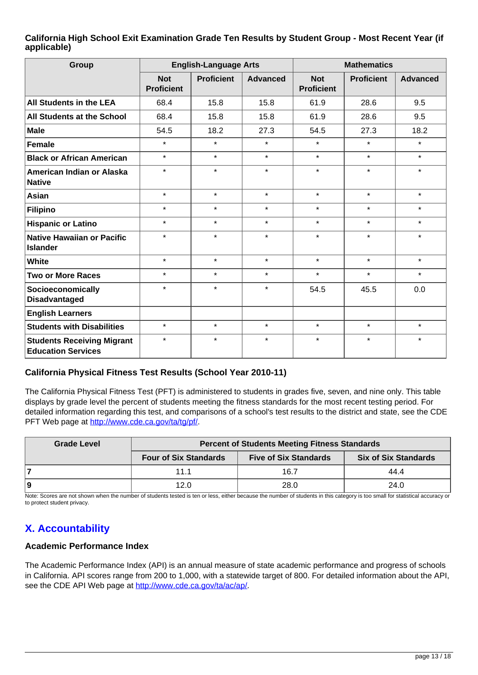#### **California High School Exit Examination Grade Ten Results by Student Group - Most Recent Year (if applicable)**

| Group                                                          | <b>English-Language Arts</b>    |                   |                 | <b>Mathematics</b>              |                   |                 |  |
|----------------------------------------------------------------|---------------------------------|-------------------|-----------------|---------------------------------|-------------------|-----------------|--|
|                                                                | <b>Not</b><br><b>Proficient</b> | <b>Proficient</b> | <b>Advanced</b> | <b>Not</b><br><b>Proficient</b> | <b>Proficient</b> | <b>Advanced</b> |  |
| All Students in the LEA                                        | 68.4                            | 15.8              | 15.8            | 61.9                            | 28.6              | 9.5             |  |
| All Students at the School                                     | 68.4                            | 15.8              | 15.8            | 61.9                            | 28.6              | 9.5             |  |
| <b>Male</b>                                                    | 54.5                            | 18.2              | 27.3            | 54.5                            | 27.3              | 18.2            |  |
| <b>Female</b>                                                  | $\star$                         | $\star$           | $\star$         | $\star$                         | $\star$           | $\star$         |  |
| <b>Black or African American</b>                               | $\star$                         | $\star$           | $\star$         | $\star$                         | $\star$           | $\star$         |  |
| American Indian or Alaska<br><b>Native</b>                     | $\star$                         | $\star$           | $\star$         | $\star$                         | $\star$           | $\star$         |  |
| <b>Asian</b>                                                   | $\star$                         | $\star$           | $\star$         | $\star$                         | $\star$           | $\star$         |  |
| <b>Filipino</b>                                                | $\star$                         | $\star$           | $\star$         | $\star$                         | $\star$           | $\star$         |  |
| <b>Hispanic or Latino</b>                                      | $\star$                         | $\star$           | $\star$         | $\star$                         | $\star$           | $\star$         |  |
| <b>Native Hawaiian or Pacific</b><br><b>Islander</b>           | $\star$                         | $\star$           | $\star$         | $\star$                         | $\star$           | $\star$         |  |
| White                                                          | $\star$                         | $\star$           | $\star$         | $\star$                         | $\star$           | $\star$         |  |
| <b>Two or More Races</b>                                       | $\star$                         | $\star$           | $\star$         | $\star$                         | $\star$           | $\star$         |  |
| Socioeconomically<br><b>Disadvantaged</b>                      | $\star$                         | $\star$           | $\star$         | 54.5                            | 45.5              | 0.0             |  |
| <b>English Learners</b>                                        |                                 |                   |                 |                                 |                   |                 |  |
| <b>Students with Disabilities</b>                              | $\star$                         | $\star$           | $\star$         | $\star$                         | $\star$           | $\star$         |  |
| <b>Students Receiving Migrant</b><br><b>Education Services</b> | $\star$                         | $\star$           | $\star$         | $\star$                         | $\star$           | $\star$         |  |

## **California Physical Fitness Test Results (School Year 2010-11)**

The California Physical Fitness Test (PFT) is administered to students in grades five, seven, and nine only. This table displays by grade level the percent of students meeting the fitness standards for the most recent testing period. For detailed information regarding this test, and comparisons of a school's test results to the district and state, see the CDE PFT Web page at<http://www.cde.ca.gov/ta/tg/pf/>.

| <b>Grade Level</b> | <b>Percent of Students Meeting Fitness Standards</b> |                              |                             |  |  |  |  |
|--------------------|------------------------------------------------------|------------------------------|-----------------------------|--|--|--|--|
|                    | <b>Four of Six Standards</b>                         | <b>Five of Six Standards</b> | <b>Six of Six Standards</b> |  |  |  |  |
|                    | 11.1                                                 | 16.7                         | 44.4                        |  |  |  |  |
| و ا                | 12.0                                                 | 28.0                         | 24.0                        |  |  |  |  |

Note: Scores are not shown when the number of students tested is ten or less, either because the number of students in this category is too small for statistical accuracy or to protect student privacy.

# **X. Accountability**

## **Academic Performance Index**

The Academic Performance Index (API) is an annual measure of state academic performance and progress of schools in California. API scores range from 200 to 1,000, with a statewide target of 800. For detailed information about the API, see the CDE API Web page at [http://www.cde.ca.gov/ta/ac/ap/.](http://www.cde.ca.gov/ta/ac/ap/)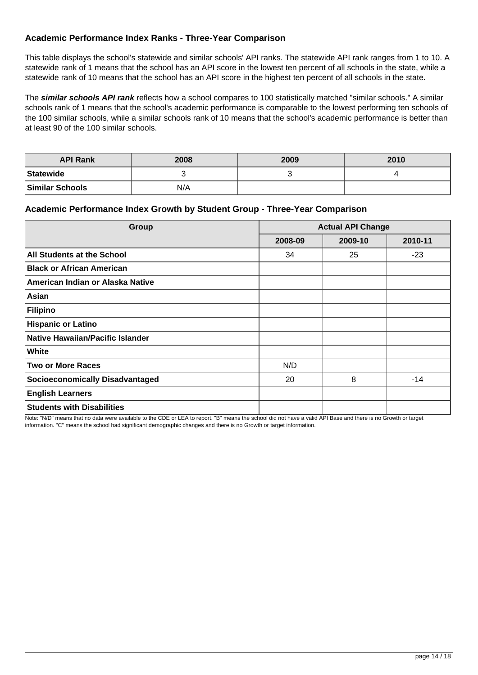## **Academic Performance Index Ranks - Three-Year Comparison**

This table displays the school's statewide and similar schools' API ranks. The statewide API rank ranges from 1 to 10. A statewide rank of 1 means that the school has an API score in the lowest ten percent of all schools in the state, while a statewide rank of 10 means that the school has an API score in the highest ten percent of all schools in the state.

The **similar schools API rank** reflects how a school compares to 100 statistically matched "similar schools." A similar schools rank of 1 means that the school's academic performance is comparable to the lowest performing ten schools of the 100 similar schools, while a similar schools rank of 10 means that the school's academic performance is better than at least 90 of the 100 similar schools.

| <b>API Rank</b>        | 2008 | 2009 | 2010 |
|------------------------|------|------|------|
| Statewide              |      |      |      |
| <b>Similar Schools</b> | N/A  |      |      |

#### **Academic Performance Index Growth by Student Group - Three-Year Comparison**

| <b>Group</b>                            | <b>Actual API Change</b> |         |         |  |
|-----------------------------------------|--------------------------|---------|---------|--|
|                                         | 2008-09                  | 2009-10 | 2010-11 |  |
| All Students at the School              | 34                       | 25      | $-23$   |  |
| <b>Black or African American</b>        |                          |         |         |  |
| American Indian or Alaska Native        |                          |         |         |  |
| Asian                                   |                          |         |         |  |
| <b>Filipino</b>                         |                          |         |         |  |
| <b>Hispanic or Latino</b>               |                          |         |         |  |
| <b>Native Hawaiian/Pacific Islander</b> |                          |         |         |  |
| White                                   |                          |         |         |  |
| <b>Two or More Races</b>                | N/D                      |         |         |  |
| <b>Socioeconomically Disadvantaged</b>  | 20                       | 8       | $-14$   |  |
| <b>English Learners</b>                 |                          |         |         |  |
| <b>Students with Disabilities</b>       |                          |         |         |  |

Note: "N/D" means that no data were available to the CDE or LEA to report. "B" means the school did not have a valid API Base and there is no Growth or target information. "C" means the school had significant demographic changes and there is no Growth or target information.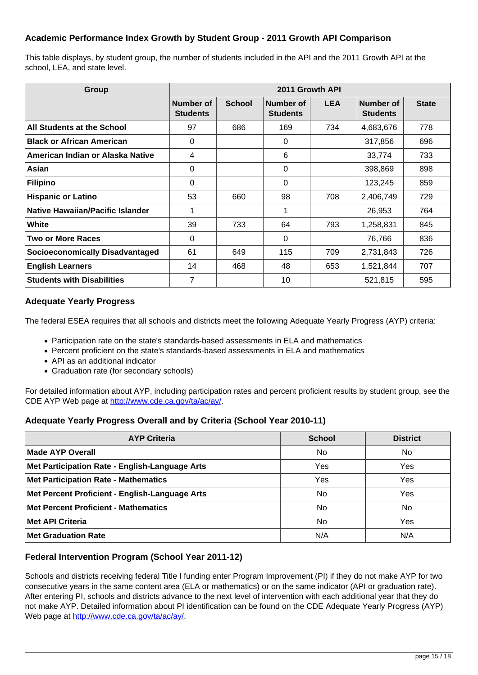## **Academic Performance Index Growth by Student Group - 2011 Growth API Comparison**

This table displays, by student group, the number of students included in the API and the 2011 Growth API at the school, LEA, and state level.

| Group                                  | 2011 Growth API              |               |                              |            |                              |              |
|----------------------------------------|------------------------------|---------------|------------------------------|------------|------------------------------|--------------|
|                                        | Number of<br><b>Students</b> | <b>School</b> | Number of<br><b>Students</b> | <b>LEA</b> | Number of<br><b>Students</b> | <b>State</b> |
| All Students at the School             | 97                           | 686           | 169                          | 734        | 4,683,676                    | 778          |
| <b>Black or African American</b>       | $\Omega$                     |               | $\Omega$                     |            | 317,856                      | 696          |
| American Indian or Alaska Native       | 4                            |               | 6                            |            | 33,774                       | 733          |
| Asian                                  | $\Omega$                     |               | 0                            |            | 398,869                      | 898          |
| Filipino                               | 0                            |               | $\Omega$                     |            | 123,245                      | 859          |
| <b>Hispanic or Latino</b>              | 53                           | 660           | 98                           | 708        | 2,406,749                    | 729          |
| Native Hawaiian/Pacific Islander       |                              |               | 1                            |            | 26,953                       | 764          |
| White                                  | 39                           | 733           | 64                           | 793        | 1,258,831                    | 845          |
| <b>Two or More Races</b>               | 0                            |               | 0                            |            | 76,766                       | 836          |
| <b>Socioeconomically Disadvantaged</b> | 61                           | 649           | 115                          | 709        | 2,731,843                    | 726          |
| <b>English Learners</b>                | 14                           | 468           | 48                           | 653        | 1,521,844                    | 707          |
| <b>Students with Disabilities</b>      | 7                            |               | 10                           |            | 521,815                      | 595          |

#### **Adequate Yearly Progress**

The federal ESEA requires that all schools and districts meet the following Adequate Yearly Progress (AYP) criteria:

- Participation rate on the state's standards-based assessments in ELA and mathematics
- Percent proficient on the state's standards-based assessments in ELA and mathematics
- API as an additional indicator
- Graduation rate (for secondary schools)

For detailed information about AYP, including participation rates and percent proficient results by student group, see the CDE AYP Web page at [http://www.cde.ca.gov/ta/ac/ay/.](http://www.cde.ca.gov/ta/ac/ay/)

#### **Adequate Yearly Progress Overall and by Criteria (School Year 2010-11)**

| <b>AYP Criteria</b>                            | <b>School</b> | <b>District</b> |
|------------------------------------------------|---------------|-----------------|
| Made AYP Overall                               | No            | <b>No</b>       |
| Met Participation Rate - English-Language Arts | Yes           | Yes             |
| <b>Met Participation Rate - Mathematics</b>    | Yes           | Yes             |
| Met Percent Proficient - English-Language Arts | No.           | Yes             |
| <b>Met Percent Proficient - Mathematics</b>    | No            | No              |
| <b>Met API Criteria</b>                        | No.           | Yes             |
| <b>Met Graduation Rate</b>                     | N/A           | N/A             |

#### **Federal Intervention Program (School Year 2011-12)**

Schools and districts receiving federal Title I funding enter Program Improvement (PI) if they do not make AYP for two consecutive years in the same content area (ELA or mathematics) or on the same indicator (API or graduation rate). After entering PI, schools and districts advance to the next level of intervention with each additional year that they do not make AYP. Detailed information about PI identification can be found on the CDE Adequate Yearly Progress (AYP) Web page at <http://www.cde.ca.gov/ta/ac/ay/>.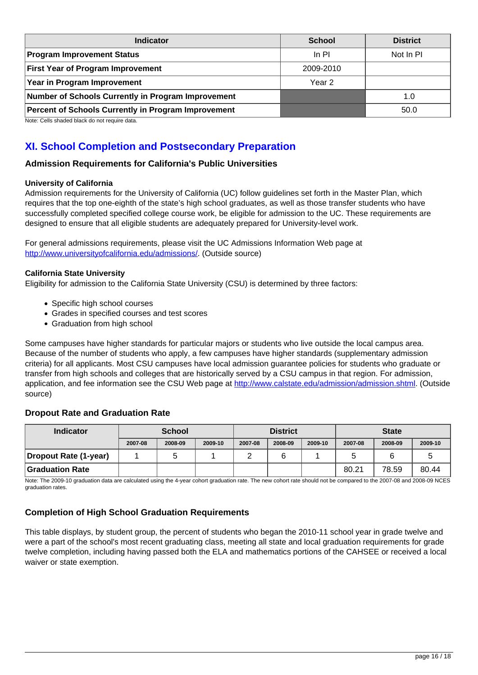| <b>Indicator</b>                                    | <b>School</b> | <b>District</b> |
|-----------------------------------------------------|---------------|-----------------|
| <b>Program Improvement Status</b>                   | ln Pl         | Not In PI       |
| <b>First Year of Program Improvement</b>            | 2009-2010     |                 |
| Year in Program Improvement                         | Year 2        |                 |
| Number of Schools Currently in Program Improvement  |               | 1.0             |
| Percent of Schools Currently in Program Improvement |               | 50.0            |

Note: Cells shaded black do not require data.

# **XI. School Completion and Postsecondary Preparation**

#### **Admission Requirements for California's Public Universities**

#### **University of California**

Admission requirements for the University of California (UC) follow guidelines set forth in the Master Plan, which requires that the top one-eighth of the state's high school graduates, as well as those transfer students who have successfully completed specified college course work, be eligible for admission to the UC. These requirements are designed to ensure that all eligible students are adequately prepared for University-level work.

For general admissions requirements, please visit the UC Admissions Information Web page at <http://www.universityofcalifornia.edu/admissions/>. (Outside source)

#### **California State University**

Eligibility for admission to the California State University (CSU) is determined by three factors:

- Specific high school courses
- Grades in specified courses and test scores
- Graduation from high school

Some campuses have higher standards for particular majors or students who live outside the local campus area. Because of the number of students who apply, a few campuses have higher standards (supplementary admission criteria) for all applicants. Most CSU campuses have local admission guarantee policies for students who graduate or transfer from high schools and colleges that are historically served by a CSU campus in that region. For admission, application, and fee information see the CSU Web page at [http://www.calstate.edu/admission/admission.shtml.](http://www.calstate.edu/admission/admission.shtml) (Outside source)

#### **Dropout Rate and Graduation Rate**

| <b>Indicator</b>      | <b>School</b> |         | <b>District</b> |         |         | <b>State</b> |         |         |         |
|-----------------------|---------------|---------|-----------------|---------|---------|--------------|---------|---------|---------|
|                       | 2007-08       | 2008-09 | 2009-10         | 2007-08 | 2008-09 | 2009-10      | 2007-08 | 2008-09 | 2009-10 |
| Dropout Rate (1-year) |               |         |                 |         |         |              | э       |         |         |
| Graduation Rate       |               |         |                 |         |         |              | 80.21   | 78.59   | 80.44   |

Note: The 2009-10 graduation data are calculated using the 4-year cohort graduation rate. The new cohort rate should not be compared to the 2007-08 and 2008-09 NCES graduation rates.

## **Completion of High School Graduation Requirements**

This table displays, by student group, the percent of students who began the 2010-11 school year in grade twelve and were a part of the school's most recent graduating class, meeting all state and local graduation requirements for grade twelve completion, including having passed both the ELA and mathematics portions of the CAHSEE or received a local waiver or state exemption.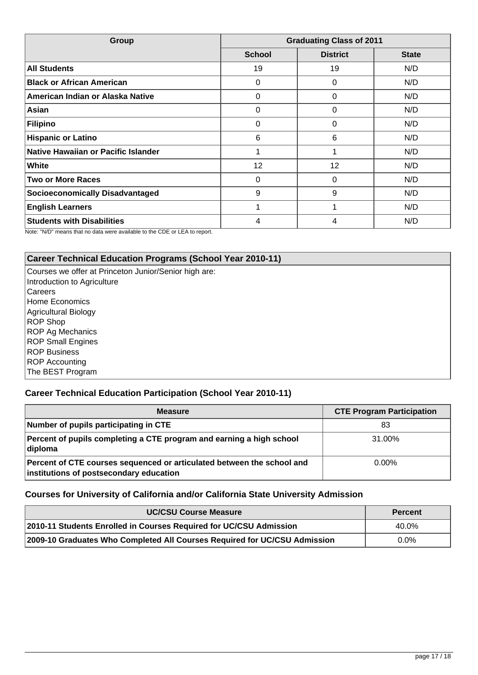| Group                                  | <b>Graduating Class of 2011</b> |                 |              |  |
|----------------------------------------|---------------------------------|-----------------|--------------|--|
|                                        | <b>School</b>                   | <b>District</b> | <b>State</b> |  |
| <b>All Students</b>                    | 19                              | 19              | N/D          |  |
| <b>Black or African American</b>       | 0                               | 0               | N/D          |  |
| American Indian or Alaska Native       | 0                               | 0               | N/D          |  |
| Asian                                  | 0                               | 0               | N/D          |  |
| Filipino                               | 0                               | 0               | N/D          |  |
| <b>Hispanic or Latino</b>              | 6                               | 6               | N/D          |  |
| Native Hawaiian or Pacific Islander    |                                 |                 | N/D          |  |
| White                                  | 12                              | 12              | N/D          |  |
| <b>Two or More Races</b>               | 0                               | 0               | N/D          |  |
| <b>Socioeconomically Disadvantaged</b> | 9                               | 9               | N/D          |  |
| <b>English Learners</b>                |                                 |                 | N/D          |  |
| <b>Students with Disabilities</b>      | 4                               | 4               | N/D          |  |

Note: "N/D" means that no data were available to the CDE or LEA to report.

## **Career Technical Education Programs (School Year 2010-11)**

Courses we offer at Princeton Junior/Senior high are: Introduction to Agriculture **Careers** Home Economics Agricultural Biology ROP Shop ROP Ag Mechanics ROP Small Engines ROP Business ROP Accounting The BEST Program

## **Career Technical Education Participation (School Year 2010-11)**

| <b>Measure</b>                                                                                                    | <b>CTE Program Participation</b> |
|-------------------------------------------------------------------------------------------------------------------|----------------------------------|
| Number of pupils participating in CTE                                                                             | 83                               |
| Percent of pupils completing a CTE program and earning a high school<br>diploma                                   | 31.00%                           |
| Percent of CTE courses sequenced or articulated between the school and<br>institutions of postsecondary education | $0.00\%$                         |

#### **Courses for University of California and/or California State University Admission**

| <b>UC/CSU Course Measure</b>                                              | <b>Percent</b> |
|---------------------------------------------------------------------------|----------------|
| 2010-11 Students Enrolled in Courses Required for UC/CSU Admission        | 40.0%          |
| 2009-10 Graduates Who Completed All Courses Required for UC/CSU Admission | $0.0\%$        |